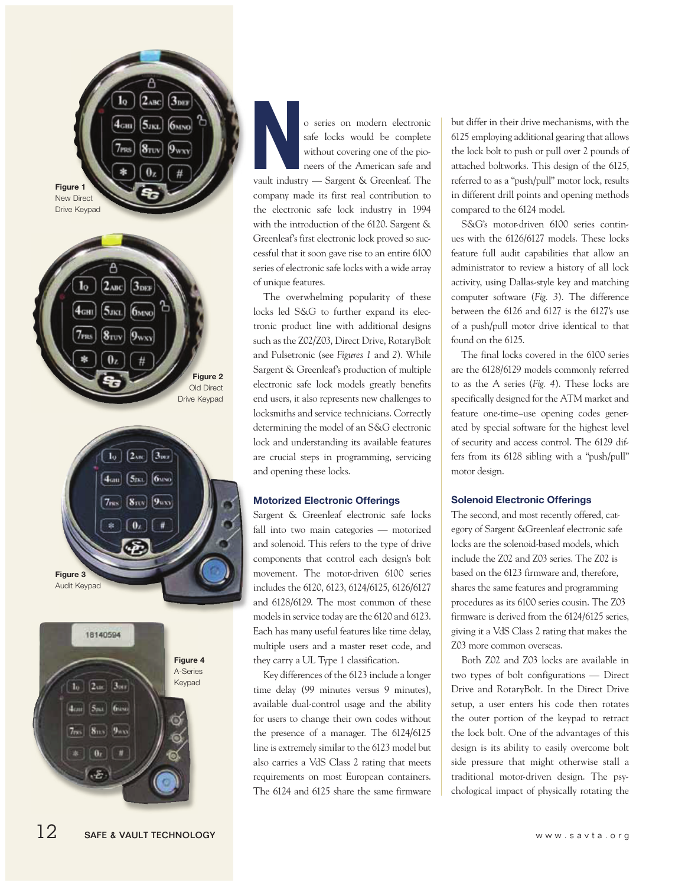





 **N** o series on modern electronic safe locks would be complete without covering one of the pioneers of the American safe and vault industry — Sargent & Greenleaf. The company made its first real contribution to the electronic safe lock industry in 1994 with the introduction of the 6120. Sargent & Greenleaf's first electronic lock proved so successful that it soon gave rise to an entire 6100 series of electronic safe locks with a wide array of unique features.

The overwhelming popularity of these locks led S&G to further expand its electronic product line with additional designs such as the Z02/Z03, Direct Drive, RotaryBolt and Pulsetronic (see *Figures 1* and *2*). While Sargent & Greenleaf's production of multiple electronic safe lock models greatly benefits end users, it also represents new challenges to locksmiths and service technicians. Correctly determining the model of an S&G electronic lock and understanding its available features are crucial steps in programming, servicing and opening these locks.

## **Motorized Electronic Offerings**

Sargent & Greenleaf electronic safe locks fall into two main categories — motorized and solenoid. This refers to the type of drive components that control each design's bolt movement. The motor-driven 6100 series includes the 6120, 6123, 6124/6125, 6126/6127 and 6128/6129. The most common of these models in service today are the 6120 and 6123. Each has many useful features like time delay, multiple users and a master reset code, and they carry a UL Type 1 classification.

Key differences of the 6123 include a longer time delay (99 minutes versus 9 minutes), available dual-control usage and the ability for users to change their own codes without the presence of a manager. The 6124/6125 line is extremely similar to the 6123 model but also carries a VdS Class 2 rating that meets requirements on most European containers. The 6124 and 6125 share the same firmware but differ in their drive mechanisms, with the 6125 employing additional gearing that allows the lock bolt to push or pull over 2 pounds of attached boltworks. This design of the 6125, referred to as a "push/pull" motor lock, results in different drill points and opening methods compared to the 6124 model.

S&G's motor-driven 6100 series continues with the 6126/6127 models. These locks feature full audit capabilities that allow an administrator to review a history of all lock activity, using Dallas-style key and matching computer software (*Fig. 3*). The difference between the 6126 and 6127 is the 6127's use of a push/pull motor drive identical to that found on the 6125.

The final locks covered in the 6100 series are the 6128/6129 models commonly referred to as the A series (*Fig. 4*). These locks are specifically designed for the ATM market and feature one-time–use opening codes generated by special software for the highest level of security and access control. The 6129 differs from its 6128 sibling with a "push/pull" motor design.

#### **Solenoid Electronic Offerings**

The second, and most recently offered, category of Sargent &Greenleaf electronic safe locks are the solenoid-based models, which include the Z02 and Z03 series. The Z02 is based on the 6123 firmware and, therefore, shares the same features and programming procedures as its 6100 series cousin. The Z03 firmware is derived from the 6124/6125 series, giving it a VdS Class 2 rating that makes the Z03 more common overseas.

Both Z02 and Z03 locks are available in two types of bolt configurations — Direct Drive and RotaryBolt. In the Direct Drive setup, a user enters his code then rotates the outer portion of the keypad to retract the lock bolt. One of the advantages of this design is its ability to easily overcome bolt side pressure that might otherwise stall a traditional motor-driven design. The psychological impact of physically rotating the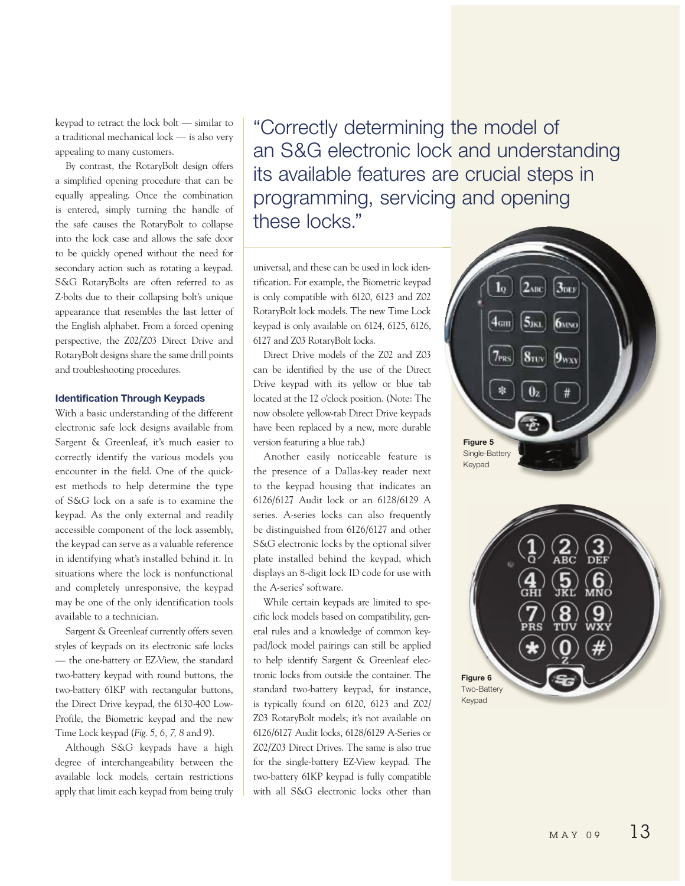keypad to retract the lock bolt — similar to a traditional mechanical lock — is also very appealing to many customers.

By contrast, the RotaryBolt design offers a simplified opening procedure that can be equally appealing. Once the combination is entered, simply turning the handle of the safe causes the RotaryBolt to collapse into the lock case and allows the safe door to be quickly opened without the need for secondary action such as rotating a keypad. S&G RotaryBolts are often referred to as Z-bolts due to their collapsing bolt's unique appearance that resembles the last letter of the English alphabet. From a forced opening perspective, the Z02/Z03 Direct Drive and RotaryBolt designs share the same drill points and troubleshooting procedures.

### **Identification Through Keypads**

With a basic understanding of the different electronic safe lock designs available from Sargent & Greenleaf, it's much easier to correctly identify the various models you encounter in the field. One of the quickest methods to help determine the type of S&G lock on a safe is to examine the keypad. As the only external and readily accessible component of the lock assembly, the keypad can serve as a valuable reference in identifying what's installed behind it. In situations where the lock is nonfunctional and completely unresponsive, the keypad may be one of the only identification tools available to a technician.

Sargent & Greenleaf currently offers seven styles of keypads on its electronic safe locks — the one-battery or EZ-View, the standard two-battery keypad with round buttons, the two-battery 61KP with rectangular buttons, the Direct Drive keypad, the 6130-400 Low-Profile, the Biometric keypad and the new Time Lock keypad (*Fig. 5, 6, 7, 8* and *9*).

Although S&G keypads have a high degree of interchangeability between the available lock models, certain restrictions apply that limit each keypad from being truly

"Correctly determining the model of an S&G electronic lock and understanding its available features are crucial steps in programming, servicing and opening these locks."

universal, and these can be used in lock identification. For example, the Biometric keypad is only compatible with 6120, 6123 and Z02 RotaryBolt lock models. The new Time Lock keypad is only available on 6124, 6125, 6126, 6127 and Z03 RotaryBolt locks.

Direct Drive models of the Z02 and Z03 can be identified by the use of the Direct Drive keypad with its yellow or blue tab located at the 12 o'clock position. (Note: The now obsolete yellow-tab Direct Drive keypads have been replaced by a new, more durable version featuring a blue tab.)

Another easily noticeable feature is the presence of a Dallas-key reader next to the keypad housing that indicates an 6126/6127 Audit lock or an 6128/6129 A series. A-series locks can also frequently be distinguished from 6126/6127 and other S&G electronic locks by the optional silver plate installed behind the keypad, which displays an 8-digit lock ID code for use with the A-series' software.

While certain keypads are limited to specific lock models based on compatibility, general rules and a knowledge of common keypad/lock model pairings can still be applied to help identify Sargent & Greenleaf electronic locks from outside the container. The standard two-battery keypad, for instance, is typically found on 6120, 6123 and Z02/ Z03 RotaryBolt models; it's not available on 6126/6127 Audit locks, 6128/6129 A-Series or Z02/Z03 Direct Drives. The same is also true for the single-battery EZ-View keypad. The two-battery 61KP keypad is fully compatible with all S&G electronic locks other than

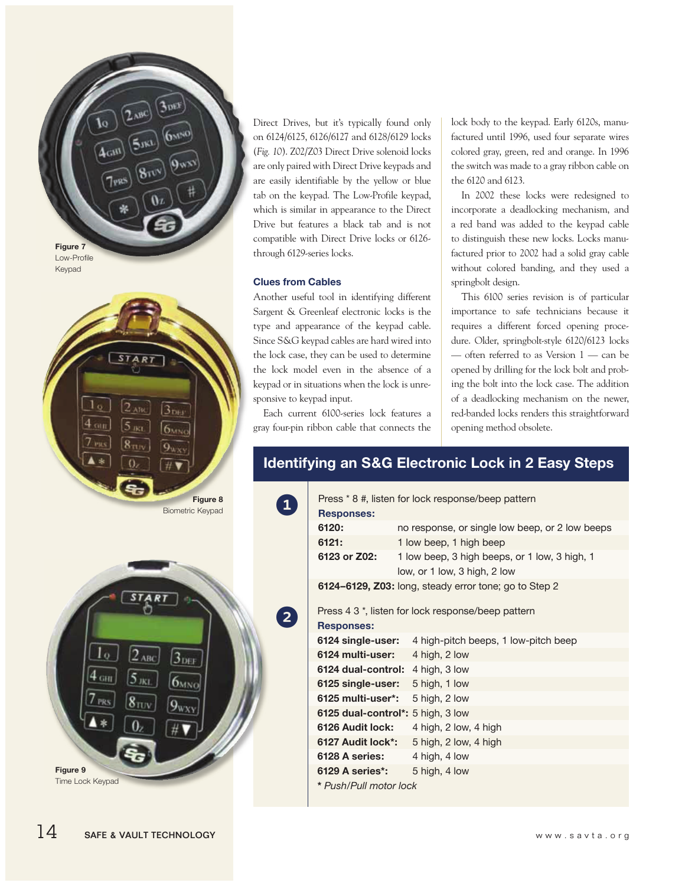



R<sub>1</sub>  $2_{ABC}$  $3_{\rm{DEF}}$  $6MNO$ **Figure 9** Time Lock Keypad

Direct Drives, but it's typically found only on 6124/6125, 6126/6127 and 6128/6129 locks (*Fig. 10*). Z02/Z03 Direct Drive solenoid locks are only paired with Direct Drive keypads and are easily identifiable by the yellow or blue tab on the keypad. The Low-Profile keypad, which is similar in appearance to the Direct Drive but features a black tab and is not compatible with Direct Drive locks or 6126 through 6129-series locks.

## **Clues from Cables**

1

2

Another useful tool in identifying different Sargent & Greenleaf electronic locks is the type and appearance of the keypad cable. Since S&G keypad cables are hard wired into the lock case, they can be used to determine the lock model even in the absence of a keypad or in situations when the lock is unresponsive to keypad input.

Each current 6100-series lock features a gray four-pin ribbon cable that connects the lock body to the keypad. Early 6120s, manufactured until 1996, used four separate wires colored gray, green, red and orange. In 1996 the switch was made to a gray ribbon cable on the 6120 and 6123.

In 2002 these locks were redesigned to incorporate a deadlocking mechanism, and a red band was added to the keypad cable to distinguish these new locks. Locks manufactured prior to 2002 had a solid gray cable without colored banding, and they used a springbolt design.

This 6100 series revision is of particular importance to safe technicians because it requires a different forced opening procedure. Older, springbolt-style 6120/6123 locks — often referred to as Version 1 — can be opened by drilling for the lock bolt and probing the bolt into the lock case. The addition of a deadlocking mechanism on the newer, red-banded locks renders this straightforward opening method obsolete.

# **Identifying an S&G Electronic Lock in 2 Easy Steps**

| Press * 8 #, listen for lock response/beep pattern    |                                                               |
|-------------------------------------------------------|---------------------------------------------------------------|
| <b>Responses:</b>                                     |                                                               |
| 6120:                                                 | no response, or single low beep, or 2 low beeps               |
| 6121:                                                 | 1 low beep, 1 high beep                                       |
| 6123 or Z02:                                          | 1 low beep, 3 high beeps, or 1 low, 3 high, 1                 |
|                                                       | low, or 1 low, 3 high, 2 low                                  |
| 6124–6129, Z03: long, steady error tone; go to Step 2 |                                                               |
|                                                       |                                                               |
| Press 4 3 *, listen for lock response/beep pattern    |                                                               |
| <b>Responses:</b>                                     |                                                               |
|                                                       | <b>6124 single-user:</b> 4 high-pitch beeps, 1 low-pitch beep |
| 6124 multi-user: 4 high, 2 low                        |                                                               |
| 6124 dual-control: 4 high, 3 low                      |                                                               |
| 6125 single-user: 5 high, 1 low                       |                                                               |
| 6125 multi-user*: $5$ high, 2 low                     |                                                               |
| 6125 dual-control*: 5 high, 3 low                     |                                                               |
| 6126 Audit lock:                                      | 4 high, 2 low, 4 high                                         |
|                                                       | <b>6127 Audit lock*:</b> 5 high, 2 low, 4 high                |
| 6128 A series: $4$ high, $4$ low                      |                                                               |
| 6129 A series <sup>*</sup> : 5 high, 4 low            |                                                               |
| * Push/Pull motor lock                                |                                                               |